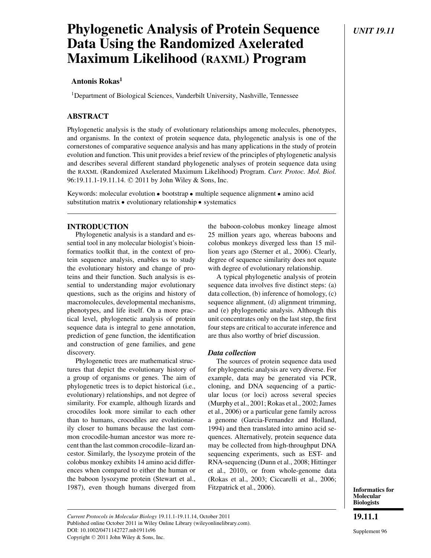# **Phylogenetic Analysis of Protein Sequence** *UNIT 19.11* **Data Using the Randomized Axelerated Maximum Likelihood (RAXML) Program**

# **Antonis Rokas<sup>1</sup>**

<sup>1</sup>Department of Biological Sciences, Vanderbilt University, Nashville, Tennessee

# **ABSTRACT**

Phylogenetic analysis is the study of evolutionary relationships among molecules, phenotypes, and organisms. In the context of protein sequence data, phylogenetic analysis is one of the cornerstones of comparative sequence analysis and has many applications in the study of protein evolution and function. This unit provides a brief review of the principles of phylogenetic analysis and describes several different standard phylogenetic analyses of protein sequence data using the RAXML (Randomized Axelerated Maximum Likelihood) Program. *Curr. Protoc. Mol. Biol.* 96:19.11.1-19.11.14. © 2011 by John Wiley & Sons, Inc.

Keywords: molecular evolution · bootstrap · multiple sequence alignment · amino acid substitution matrix · evolutionary relationship · systematics

# **INTRODUCTION**

Phylogenetic analysis is a standard and essential tool in any molecular biologist's bioinformatics toolkit that, in the context of protein sequence analysis, enables us to study the evolutionary history and change of proteins and their function. Such analysis is essential to understanding major evolutionary questions, such as the origins and history of macromolecules, developmental mechanisms, phenotypes, and life itself. On a more practical level, phylogenetic analysis of protein sequence data is integral to gene annotation, prediction of gene function, the identification and construction of gene families, and gene discovery.

Phylogenetic trees are mathematical structures that depict the evolutionary history of a group of organisms or genes. The aim of phylogenetic trees is to depict historical (i.e., evolutionary) relationships, and not degree of similarity. For example, although lizards and crocodiles look more similar to each other than to humans, crocodiles are evolutionarily closer to humans because the last common crocodile-human ancestor was more recent than the last common crocodile–lizard ancestor. Similarly, the lysozyme protein of the colobus monkey exhibits 14 amino acid differences when compared to either the human or the baboon lysozyme protein (Stewart et al., 1987), even though humans diverged from the baboon-colobus monkey lineage almost 25 million years ago, whereas baboons and colobus monkeys diverged less than 15 million years ago (Sterner et al., 2006). Clearly, degree of sequence similarity does not equate with degree of evolutionary relationship.

A typical phylogenetic analysis of protein sequence data involves five distinct steps: (a) data collection, (b) inference of homology, (c) sequence alignment, (d) alignment trimming, and (e) phylogenetic analysis. Although this unit concentrates only on the last step, the first four steps are critical to accurate inference and are thus also worthy of brief discussion.

## *Data collection*

The sources of protein sequence data used for phylogenetic analysis are very diverse. For example, data may be generated via PCR, cloning, and DNA sequencing of a particular locus (or loci) across several species (Murphy et al., 2001; Rokas et al., 2002; James et al., 2006) or a particular gene family across a genome (Garcia-Fernandez and Holland, 1994) and then translated into amino acid sequences. Alternatively, protein sequence data may be collected from high-throughput DNA sequencing experiments, such as EST- and RNA-sequencing (Dunn et al., 2008; Hittinger et al., 2010), or from whole-genome data (Rokas et al., 2003; Ciccarelli et al., 2006; Fitzpatrick et al., 2006).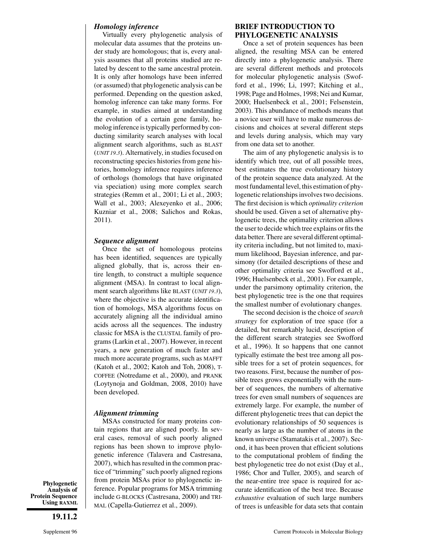### *Homology inference*

Virtually every phylogenetic analysis of molecular data assumes that the proteins under study are homologous; that is, every analysis assumes that all proteins studied are related by descent to the same ancestral protein. It is only after homologs have been inferred (or assumed) that phylogenetic analysis can be performed. Depending on the question asked, homolog inference can take many forms. For example, in studies aimed at understanding the evolution of a certain gene family, homolog inference is typically performed by conducting similarity search analyses with local alignment search algorithms, such as BLAST (*UNIT 19.3*). Alternatively, in studies focused on reconstructing species histories from gene histories, homology inference requires inference of orthologs (homologs that have originated via speciation) using more complex search strategies (Remm et al., 2001; Li et al., 2003; Wall et al., 2003; Alexeyenko et al., 2006; Kuzniar et al., 2008; Salichos and Rokas, 2011).

#### *Sequence alignment*

Once the set of homologous proteins has been identified, sequences are typically aligned globally, that is, across their entire length, to construct a multiple sequence alignment (MSA). In contrast to local alignment search algorithms like BLAST (*UNIT 19.3*), where the objective is the accurate identification of homologs, MSA algorithms focus on accurately aligning all the individual amino acids across all the sequences. The industry classic for MSA is the CLUSTAL family of programs (Larkin et al., 2007). However, in recent years, a new generation of much faster and much more accurate programs, such as MAFFT (Katoh et al., 2002; Katoh and Toh, 2008), T-COFFEE (Notredame et al., 2000), and PRANK (Loytynoja and Goldman, 2008, 2010) have been developed.

#### *Alignment trimming*

MSAs constructed for many proteins contain regions that are aligned poorly. In several cases, removal of such poorly aligned regions has been shown to improve phylogenetic inference (Talavera and Castresana, 2007), which has resulted in the common practice of "trimming" such poorly aligned regions from protein MSAs prior to phylogenetic inference. Popular programs for MSA trimming include G-BLOCKS (Castresana, 2000) and TRI-MAL (Capella-Gutierrez et al., 2009).

#### **BRIEF INTRODUCTION TO PHYLOGENETIC ANALYSIS**

Once a set of protein sequences has been aligned, the resulting MSA can be entered directly into a phylogenetic analysis. There are several different methods and protocols for molecular phylogenetic analysis (Swofford et al., 1996; Li, 1997; Kitching et al., 1998; Page and Holmes, 1998; Nei and Kumar, 2000; Huelsenbeck et al., 2001; Felsenstein, 2003). This abundance of methods means that a novice user will have to make numerous decisions and choices at several different steps and levels during analysis, which may vary from one data set to another.

The aim of any phylogenetic analysis is to identify which tree, out of all possible trees, best estimates the true evolutionary history of the protein sequence data analyzed. At the most fundamental level, this estimation of phylogenetic relationships involves two decisions. The first decision is which *optimality criterion* should be used. Given a set of alternative phylogenetic trees, the optimality criterion allows the user to decide which tree explains or fits the data better. There are several different optimality criteria including, but not limited to, maximum likelihood, Bayesian inference, and parsimony (for detailed descriptions of these and other optimality criteria see Swofford et al., 1996; Huelsenbeck et al., 2001). For example, under the parsimony optimality criterion, the best phylogenetic tree is the one that requires the smallest number of evolutionary changes.

The second decision is the choice of *search strategy* for exploration of tree space (for a detailed, but remarkably lucid, description of the different search strategies see Swofford et al., 1996). It so happens that one cannot typically estimate the best tree among all possible trees for a set of protein sequences, for two reasons. First, because the number of possible trees grows exponentially with the number of sequences, the numbers of alternative trees for even small numbers of sequences are extremely large. For example, the number of different phylogenetic trees that can depict the evolutionary relationships of 50 sequences is nearly as large as the number of atoms in the known universe (Stamatakis et al., 2007). Second, it has been proven that efficient solutions to the computational problem of finding the best phylogenetic tree do not exist (Day et al., 1986; Chor and Tuller, 2005), and search of the near-entire tree space is required for accurate identification of the best tree. Because *exhaustive* evaluation of such large numbers of trees is unfeasible for data sets that contain

**Phylogenetic Analysis of Protein Sequence Using RAXML**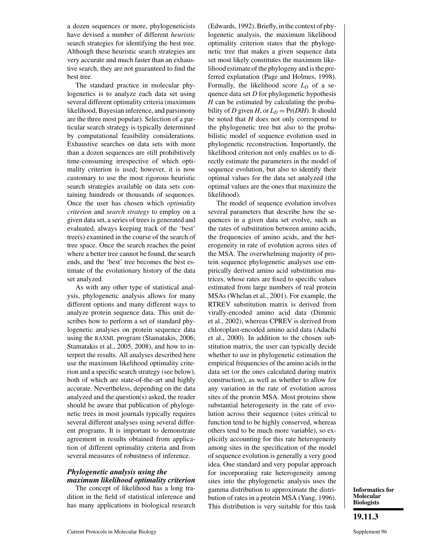a dozen sequences or more, phylogeneticists have devised a number of different *heuristic* search strategies for identifying the best tree. Although these heuristic search strategies are very accurate and much faster than an exhaustive search, they are not guaranteed to find the best tree.

The standard practice in molecular phylogenetics is to analyze each data set using several different optimality criteria (maximum likelihood, Bayesian inference, and parsimony are the three most popular). Selection of a particular search strategy is typically determined by computational feasibility considerations. Exhaustive searches on data sets with more than a dozen sequences are still prohibitively time-consuming irrespective of which optimality criterion is used; however, it is now customary to use the most rigorous heuristic search strategies available on data sets containing hundreds or thousands of sequences. Once the user has chosen which *optimality criterion* and *search strategy* to employ on a given data set, a series of trees is generated and evaluated, always keeping track of the 'best' tree(s) examined in the course of the search of tree space. Once the search reaches the point where a better tree cannot be found, the search ends, and the 'best' tree becomes the best estimate of the evolutionary history of the data set analyzed.

As with any other type of statistical analysis, phylogenetic analysis allows for many different options and many different ways to analyze protein sequence data. This unit describes how to perform a set of standard phylogenetic analyses on protein sequence data using the RAXML program (Stamatakis, 2006; Stamatakis et al., 2005, 2008), and how to interpret the results. All analyses described here use the maximum likelihood optimality criterion and a specific search strategy (see below), both of which are state-of-the-art and highly accurate. Nevertheless, depending on the data analyzed and the question(s) asked, the reader should be aware that publication of phylogenetic trees in most journals typically requires several different analyses using several different programs. It is important to demonstrate agreement in results obtained from application of different optimality criteria and from several measures of robustness of inference.

# *Phylogenetic analysis using the maximum likelihood optimality criterion*

The concept of likelihood has a long tradition in the field of statistical inference and has many applications in biological research (Edwards, 1992). Briefly, in the context of phylogenetic analysis, the maximum likelihood optimality criterion states that the phylogenetic tree that makes a given sequence data set most likely constitutes the maximum likelihood estimate of the phylogeny and is the preferred explanation (Page and Holmes, 1998). Formally, the likelihood score  $L<sub>D</sub>$  of a sequence data set *D* for phylogenetic hypothesis *H* can be estimated by calculating the probability of *D* given *H*, or  $L_D = Pr(D|H)$ . It should be noted that *H* does not only correspond to the phylogenetic tree but also to the probabilistic model of sequence evolution used in phylogenetic reconstruction. Importantly, the likelihood criterion not only enables us to directly estimate the parameters in the model of sequence evolution, but also to identify their optimal values for the data set analyzed (the optimal values are the ones that maximize the likelihood).

The model of sequence evolution involves several parameters that describe how the sequences in a given data set evolve, such as the rates of substitution between amino acids, the frequencies of amino acids, and the heterogeneity in rate of evolution across sites of the MSA. The overwhelming majority of protein sequence phylogenetic analyses use empirically derived amino acid substitution matrices, whose rates are fixed to specific values estimated from large numbers of real protein MSAs (Whelan et al., 2001). For example, the RTREV substitution matrix is derived from virally-encoded amino acid data (Dimmic et al., 2002), whereas CPREV is derived from chloroplast-encoded amino acid data (Adachi et al., 2000). In addition to the chosen substitution matrix, the user can typically decide whether to use in phylogenetic estimation the empirical frequencies of the amino acids in the data set (or the ones calculated during matrix construction), as well as whether to allow for any variation in the rate of evolution across sites of the protein MSA. Most proteins show substantial heterogeneity in the rate of evolution across their sequence (sites critical to function tend to be highly conserved, whereas others tend to be much more variable), so explicitly accounting for this rate heterogeneity among sites in the specification of the model of sequence evolution is generally a very good idea. One standard and very popular approach for incorporating rate heterogeneity among sites into the phylogenetic analysis uses the gamma distribution to approximate the distribution of rates in a protein MSA (Yang, 1996). This distribution is very suitable for this task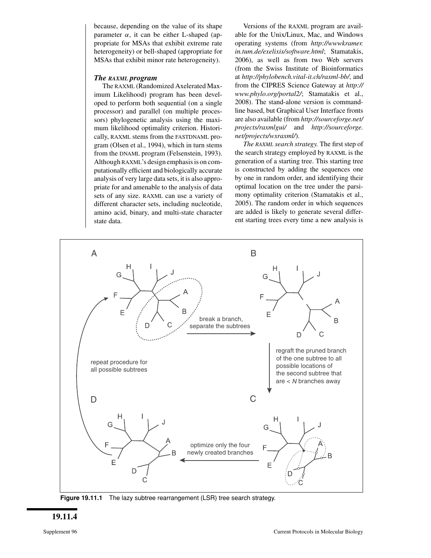because, depending on the value of its shape parameter  $\alpha$ , it can be either L-shaped (appropriate for MSAs that exhibit extreme rate heterogeneity) or bell-shaped (appropriate for MSAs that exhibit minor rate heterogeneity).

#### *The RAXML program*

The RAXML (Randomized Axelerated Maximum Likelihood) program has been developed to perform both sequential (on a single processor) and parallel (on multiple processors) phylogenetic analysis using the maximum likelihood optimality criterion. Historically, RAXML stems from the FASTDNAML program (Olsen et al., 1994), which in turn stems from the DNAML program (Felsenstein, 1993). Although RAXML's design emphasis is on computationally efficient and biologically accurate analysis of very large data sets, it is also appropriate for and amenable to the analysis of data sets of any size. RAXML can use a variety of different character sets, including nucleotide, amino acid, binary, and multi-state character state data.

Versions of the RAXML program are available for the Unix/Linux, Mac, and Windows operating systems (from *http://wwwkramer. in.tum.de/exelixis/software.html*; Stamatakis, 2006), as well as from two Web servers (from the Swiss Institute of Bioinformatics at *http://phylobench.vital-it.ch/raxml-bb/*, and from the CIPRES Science Gateway at *http:// www.phylo.org/portal2/*; Stamatakis et al., 2008). The stand-alone version is commandline based, but Graphical User Interface fronts are also available (from *http://sourceforge.net/ projects/raxmlgui/* and *http://sourceforge. net/projects/wxraxml/*).

*The RAXML search strategy.* The first step of the search strategy employed by RAXML is the generation of a starting tree. This starting tree is constructed by adding the sequences one by one in random order, and identifying their optimal location on the tree under the parsimony optimality criterion (Stamatakis et al., 2005). The random order in which sequences are added is likely to generate several different starting trees every time a new analysis is



**Figure 19.11.1** The lazy subtree rearrangement (LSR) tree search strategy.

**19.11.4**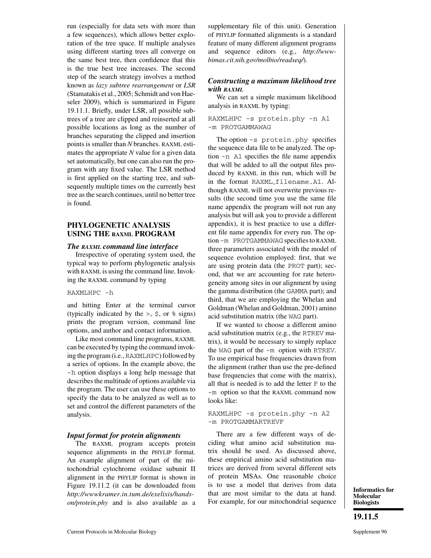run (especially for data sets with more than a few sequences), which allows better exploration of the tree space. If multiple analyses using different starting trees all converge on the same best tree, then confidence that this is the true best tree increases. The second step of the search strategy involves a method known as *lazy subtree rearrangement* or *LSR* (Stamatakis et al., 2005; Schmidt and von Haeseler 2009), which is summarized in Figure 19.11.1. Briefly, under LSR, all possible subtrees of a tree are clipped and reinserted at all possible locations as long as the number of branches separating the clipped and insertion points is smaller than *N* branches. RAXML estimates the appropriate *N* value for a given data set automatically, but one can also run the program with any fixed value. The LSR method is first applied on the starting tree, and subsequently multiple times on the currently best tree as the search continues, until no better tree is found.

## **PHYLOGENETIC ANALYSIS USING THE RAXML PROGRAM**

#### *The RAXML command line interface*

Irrespective of operating system used, the typical way to perform phylogenetic analysis with RAXML is using the command line. Invoking the RAXML command by typing

#### RAXMLHPC -h

and hitting Enter at the terminal cursor (typically indicated by the  $>$ ,  $\frac{1}{2}$ , or  $\frac{1}{2}$  signs) prints the program version, command line options, and author and contact information.

Like most command line programs, RAXML can be executed by typing the command invoking the program (i.e., RAXMLHPC) followed by a series of options. In the example above, the -h option displays a long help message that describes the multitude of options available via the program. The user can use these options to specify the data to be analyzed as well as to set and control the different parameters of the analysis.

#### *Input format for protein alignments*

The RAXML program accepts protein sequence alignments in the PHYLIP format. An example alignment of part of the mitochondrial cytochrome oxidase subunit II alignment in the PHYLIP format is shown in Figure 19.11.2 (it can be downloaded from *http://wwwkramer.in.tum.de/exelixis/handson/protein.phy* and is also available as a supplementary file of this unit). Generation of PHYLIP formatted alignments is a standard feature of many different alignment programs and sequence editors (e.g., *http://wwwbimas.cit.nih.gov/molbio/readseq/*).

#### *Constructing a maximum likelihood tree with RAXML*

We can set a simple maximum likelihood analysis in RAXML by typing:

RAXMLHPC -s protein.phy -n A1 -m PROTGAMMAWAG

The option -s protein.phy specifies the sequence data file to be analyzed. The option -n A1 specifies the file name appendix that will be added to all the output files produced by RAXML in this run, which will be in the format RAXML filename.A1. Although RAXML will not overwrite previous results (the second time you use the same file name appendix the program will not run any analysis but will ask you to provide a different appendix), it is best practice to use a different file name appendix for every run. The option -m PROTGAMMAWAG specifies to RAXML three parameters associated with the model of sequence evolution employed: first, that we are using protein data (the PROT part); second, that we are accounting for rate heterogeneity among sites in our alignment by using the gamma distribution (the GAMMA part); and third, that we are employing the Whelan and Goldman (Whelan and Goldman, 2001) amino acid substitution matrix (the WAG part).

If we wanted to choose a different amino acid substitution matrix (e.g., the RTREV matrix), it would be necessary to simply replace the WAG part of the -m option with RTREV. To use empirical base frequencies drawn from the alignment (rather than use the pre-defined base frequencies that come with the matrix), all that is needed is to add the letter F to the -m option so that the RAXML command now looks like:

#### RAXMLHPC -s protein.phy -n A2 -m PROTGAMMARTREVF

There are a few different ways of deciding what amino acid substitution matrix should be used. As discussed above, these empirical amino acid substitution matrices are derived from several different sets of protein MSAs. One reasonable choice is to use a model that derives from data that are most similar to the data at hand. For example, for our mitochondrial sequence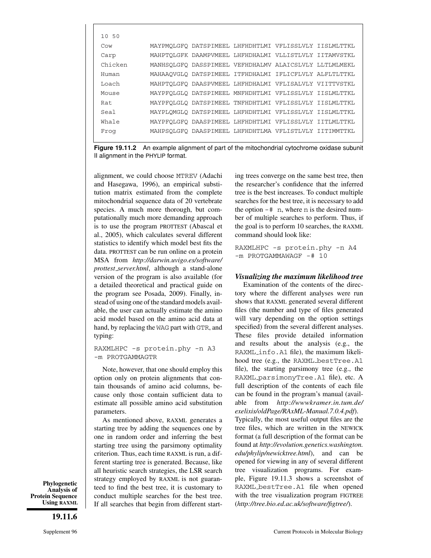| 10 50   |  |                                                        |  |
|---------|--|--------------------------------------------------------|--|
| Cow     |  | MAYPMOLGFO DATSPIMEEL LHFHDHTLMI VFLISSLVLY IISLMLTTKL |  |
| Carp    |  | MAHPTOLGFK DAAMPVMEEL LHFHDHALMI VLLISTLVLY IITAMVSTKL |  |
| Chicken |  | MANHSQLGFQ DASSPIMEEL VEFHDHALMV ALAICSLVLY LLTLMLMEKL |  |
| Human   |  | MAHAAOVGLO DATSPIMEEL ITFHDHALMI IFLICFLVLY ALFLTLTTKL |  |
| Loach   |  | MAHPTQLGFQ DAASPVMEEL LHFHDHALMI VFLISALVLY VIITTVSTKL |  |
| Mouse   |  | MAYPFOLGLO DATSPIMEEL MNFHDHTLMI VFLISSLVLY IISLMLTTKL |  |
| Rat     |  | MAYPFOLGLO DATSPIMEEL TNFHDHTLMI VFLISSLVLY IISLMLTTKL |  |
| Seal    |  | MAYPLOMGLO DATSPIMEEL LHFHDHTLMI VFLISSLVLY IISLMLTTKL |  |
| Whale   |  | MAYPFOLGFO DAASPIMEEL LHFHDHTLMI VFLISSLVLY IITLMLTTKL |  |
| Froq    |  | MAHPSOLGFO DAASPIMEEL LHFHDHTLMA VFLISTLVLY IITIMMTTKL |  |
|         |  |                                                        |  |

**Figure 19.11.2** An example alignment of part of the mitochondrial cytochrome oxidase subunit II alignment in the PHYLIP format.

alignment, we could choose MTREV (Adachi and Hasegawa, 1996), an empirical substitution matrix estimated from the complete mitochondrial sequence data of 20 vertebrate species. A much more thorough, but computationally much more demanding approach is to use the program PROTTEST (Abascal et al., 2005), which calculates several different statistics to identify which model best fits the data. PROTTEST can be run online on a protein MSA from *http://darwin.uvigo.es/software/ prottest server.html*, although a stand-alone version of the program is also available (for a detailed theoretical and practical guide on the program see Posada, 2009). Finally, instead of using one of the standard models available, the user can actually estimate the amino acid model based on the amino acid data at hand, by replacing the WAG part with GTR, and typing:

RAXMLHPC -s protein.phy -n A3 -m PROTGAMMAGTR

Note, however, that one should employ this option only on protein alignments that contain thousands of amino acid columns, because only those contain sufficient data to estimate all possible amino acid substitution parameters.

As mentioned above, RAXML generates a starting tree by adding the sequences one by one in random order and inferring the best starting tree using the parsimony optimality criterion. Thus, each time RAXML is run, a different starting tree is generated. Because, like all heuristic search strategies, the LSR search strategy employed by RAXML is not guaranteed to find the best tree, it is customary to conduct multiple searches for the best tree. If all searches that begin from different starting trees converge on the same best tree, then the researcher's confidence that the inferred tree is the best increases. To conduct multiple searches for the best tree, it is necessary to add the option  $-\#$  n, where n is the desired number of multiple searches to perform. Thus, if the goal is to perform 10 searches, the RAXML command should look like:

RAXMLHPC -s protein.phy -n A4 -m PROTGAMMAWAGF -# 10

## *Visualizing the maximum likelihood tree*

Examination of the contents of the directory where the different analyses were run shows that RAXML generated several different files (the number and type of files generated will vary depending on the option settings specified) from the several different analyses. These files provide detailed information and results about the analysis (e.g., the RAXML info.A1 file), the maximum likelihood tree (e.g., the RAXML bestTree. A1 file), the starting parsimony tree (e.g., the RAXML parsimonyTree.A1 file), etc. A full description of the contents of each file can be found in the program's manual (available from *http://wwwkramer.in.tum.de/ exelixis/oldPage/RAxML-Manual.7.0.4.pdf*).

Typically, the most useful output files are the tree files, which are written in the NEWICK format (a full description of the format can be found at *http://evolution.genetics.washington. edu/phylip/newicktree.html*), and can be opened for viewing in any of several different tree visualization programs. For example, Figure 19.11.3 shows a screenshot of RAXML bestTree.A1 file when opened with the tree visualization program FIGTREE (*http://tree.bio.ed.ac.uk/software/figtree/*).

**Phylogenetic Analysis of Protein Sequence Using RAXML**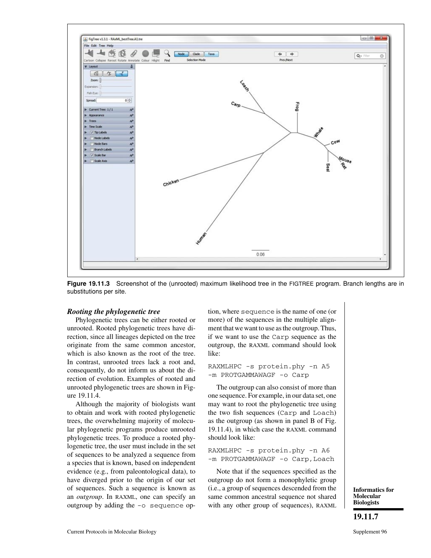

**Figure 19.11.3** Screenshot of the (unrooted) maximum likelihood tree in the FIGTREE program. Branch lengths are in substitutions per site.

#### *Rooting the phylogenetic tree*

Phylogenetic trees can be either rooted or unrooted. Rooted phylogenetic trees have direction, since all lineages depicted on the tree originate from the same common ancestor, which is also known as the root of the tree. In contrast, unrooted trees lack a root and, consequently, do not inform us about the direction of evolution. Examples of rooted and unrooted phylogenetic trees are shown in Figure 19.11.4.

Although the majority of biologists want to obtain and work with rooted phylogenetic trees, the overwhelming majority of molecular phylogenetic programs produce unrooted phylogenetic trees. To produce a rooted phylogenetic tree, the user must include in the set of sequences to be analyzed a sequence from a species that is known, based on independent evidence (e.g., from paleontological data), to have diverged prior to the origin of our set of sequences. Such a sequence is known as an *outgroup*. In RAXML, one can specify an outgroup by adding the -o sequence op-

tion, where sequence is the name of one (or more) of the sequences in the multiple alignment that we want to use as the outgroup. Thus, if we want to use the Carp sequence as the outgroup, the RAXML command should look like:

#### RAXMLHPC -s protein.phy -n A5 -m PROTGAMMAWAGF -o Carp

The outgroup can also consist of more than one sequence. For example, in our data set, one may want to root the phylogenetic tree using the two fish sequences (Carp and Loach) as the outgroup (as shown in panel B of Fig. 19.11.4), in which case the RAXML command should look like:

RAXMLHPC -s protein.phy -n A6 -m PROTGAMMAWAGF -o Carp, Loach

Note that if the sequences specified as the outgroup do not form a monophyletic group (i.e., a group of sequences descended from the same common ancestral sequence not shared with any other group of sequences), RAXML

**Informatics for Molecular Biologists**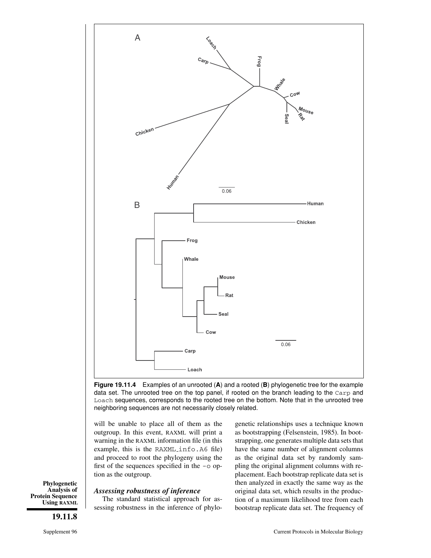

**Figure 19.11.4** Examples of an unrooted (**A**) and a rooted (**B**) phylogenetic tree for the example data set. The unrooted tree on the top panel, if rooted on the branch leading to the Carp and Loach sequences, corresponds to the rooted tree on the bottom. Note that in the unrooted tree neighboring sequences are not necessarily closely related.

will be unable to place all of them as the outgroup. In this event, RAXML will print a warning in the RAXML information file (in this example, this is the RAXML info.A6 file) and proceed to root the phylogeny using the first of the sequences specified in the -o option as the outgroup.

#### *Assessing robustness of inference*

The standard statistical approach for assessing robustness in the inference of phylo-

genetic relationships uses a technique known as bootstrapping (Felsenstein, 1985). In bootstrapping, one generates multiple data sets that have the same number of alignment columns as the original data set by randomly sampling the original alignment columns with replacement. Each bootstrap replicate data set is then analyzed in exactly the same way as the original data set, which results in the production of a maximum likelihood tree from each bootstrap replicate data set. The frequency of

**Phylogenetic Analysis of Protein Sequence Using RAXML**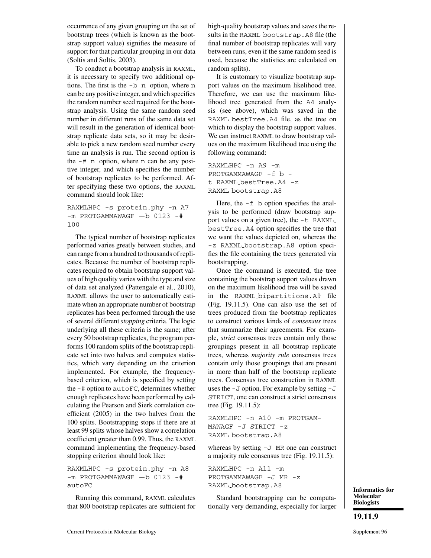occurrence of any given grouping on the set of bootstrap trees (which is known as the bootstrap support value) signifies the measure of support for that particular grouping in our data (Soltis and Soltis, 2003).

To conduct a bootstrap analysis in RAXML, it is necessary to specify two additional options. The first is the -b n option, where n can be any positive integer, and which specifies the random number seed required for the bootstrap analysis. Using the same random seed number in different runs of the same data set will result in the generation of identical bootstrap replicate data sets, so it may be desirable to pick a new random seed number every time an analysis is run. The second option is the -# n option, where n can be any positive integer, and which specifies the number of bootstrap replicates to be performed. After specifying these two options, the RAXML command should look like:

## RAXMLHPC -s protein.phy -n A7  $-m$  PROTGAMMAWAGF  $-b$  0123  $-$ # 100

The typical number of bootstrap replicates performed varies greatly between studies, and can range from a hundred to thousands of replicates. Because the number of bootstrap replicates required to obtain bootstrap support values of high quality varies with the type and size of data set analyzed (Pattengale et al., 2010), RAXML allows the user to automatically estimate when an appropriate number of bootstrap replicates has been performed through the use of several different *stopping* criteria. The logic underlying all these criteria is the same; after every 50 bootstrap replicates, the program performs 100 random splits of the bootstrap replicate set into two halves and computes statistics, which vary depending on the criterion implemented. For example, the frequencybased criterion, which is specified by setting the -# option to autoFC, determines whether enough replicates have been performed by calculating the Pearson and Sierk correlation coefficient (2005) in the two halves from the 100 splits. Bootstrapping stops if there are at least 99 splits whose halves show a correlation coefficient greater than 0.99. Thus, the RAXML command implementing the frequency-based stopping criterion should look like:

RAXMLHPC -s protein.phy -n A8 -m PROTGAMMAWAGF -b 0123 -# autoFC

Running this command, RAXML calculates that 800 bootstrap replicates are sufficient for high-quality bootstrap values and saves the results in the RAXML bootstrap.A8 file (the final number of bootstrap replicates will vary between runs, even if the same random seed is used, because the statistics are calculated on random splits).

It is customary to visualize bootstrap support values on the maximum likelihood tree. Therefore, we can use the maximum likelihood tree generated from the A4 analysis (see above), which was saved in the RAXML bestTree.A4 file, as the tree on which to display the bootstrap support values. We can instruct RAXML to draw bootstrap values on the maximum likelihood tree using the following command:

```
RAXMLHPC -n A9 -m
PROTGAMMAWAGF -f b -
t RAXML bestTree.A4 -z
RAXML bootstrap.A8
```
Here, the  $-f$  b option specifies the analysis to be performed (draw bootstrap support values on a given tree), the -t RAXML bestTree.A4 option specifies the tree that we want the values depicted on, whereas the -z RAXML bootstrap.A8 option specifies the file containing the trees generated via bootstrapping.

Once the command is executed, the tree containing the bootstrap support values drawn on the maximum likelihood tree will be saved in the RAXML bipartitions.A9 file (Fig. 19.11.5). One can also use the set of trees produced from the bootstrap replicates to construct various kinds of *consensus* trees that summarize their agreements. For example, *strict* consensus trees contain only those groupings present in all bootstrap replicate trees, whereas *majority rule* consensus trees contain only those groupings that are present in more than half of the bootstrap replicate trees. Consensus tree construction in RAXML uses the  $-J$  option. For example by setting  $-J$ STRICT, one can construct a strict consensus tree (Fig. 19.11.5):

RAXMLHPC -n A10 -m PROTGAM-MAWAGF -J STRICT -z RAXML bootstrap.A8

whereas by setting -J MR one can construct a majority rule consensus tree (Fig. 19.11.5):

RAXMLHPC -n A11 -m PROTGAMMAWAGF -J MR -z RAXML bootstrap.A8

Standard bootstrapping can be computationally very demanding, especially for larger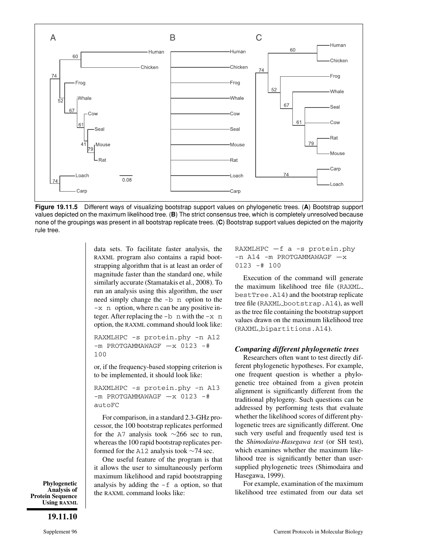

**Figure 19.11.5** Different ways of visualizing bootstrap support values on phylogenetic trees. (**A**) Bootstrap support values depicted on the maximum likelihood tree. (**B**) The strict consensus tree, which is completely unresolved because none of the groupings was present in all bootstrap replicate trees. (**C**) Bootstrap support values depicted on the majority rule tree.

data sets. To facilitate faster analysis, the RAXML program also contains a rapid bootstrapping algorithm that is at least an order of magnitude faster than the standard one, while similarly accurate (Stamatakis et al., 2008). To run an analysis using this algorithm, the user need simply change the -b n option to the -x n option, where n can be any positive integer. After replacing the  $-b$  n with the  $-x$  n option, the RAXML command should look like:

RAXMLHPC -s protein.phy -n A12  $-m$  PROTGAMMAWAGF  $-x$  0123 -# 100

or, if the frequency-based stopping criterion is to be implemented, it should look like:

RAXMLHPC -s protein.phy -n A13  $-m$  PROTGAMMAWAGF  $-x$  0123 -# autoFC

For comparison, in a standard 2.3-GHz processor, the 100 bootstrap replicates performed for the A7 analysis took ∼266 sec to run, whereas the 100 rapid bootstrap replicates performed for the A12 analysis took ∼74 sec.

One useful feature of the program is that it allows the user to simultaneously perform maximum likelihood and rapid bootstrapping analysis by adding the  $-f$  a option, so that the RAXML command looks like:

RAXMLHPC  $-f$  a  $-s$  protein.phy  $-n$  A14  $-m$  PROTGAMMAWAGF  $-x$ 0123 -# 100

Execution of the command will generate the maximum likelihood tree file (RAXML bestTree.A14) and the bootstrap replicate tree file (RAXML bootstrap.A14), as well as the tree file containing the bootstrap support values drawn on the maximum likelihood tree (RAXML bipartitions.A14).

#### *Comparing different phylogenetic trees*

Researchers often want to test directly different phylogenetic hypotheses. For example, one frequent question is whether a phylogenetic tree obtained from a given protein alignment is significantly different from the traditional phylogeny. Such questions can be addressed by performing tests that evaluate whether the likelihood scores of different phylogenetic trees are significantly different. One such very useful and frequently used test is the *Shimodaira-Hasegawa test* (or SH test), which examines whether the maximum likelihood tree is significantly better than usersupplied phylogenetic trees (Shimodaira and Hasegawa, 1999).

For example, examination of the maximum likelihood tree estimated from our data set

**Phylogenetic Analysis of Protein Sequence Using RAXML**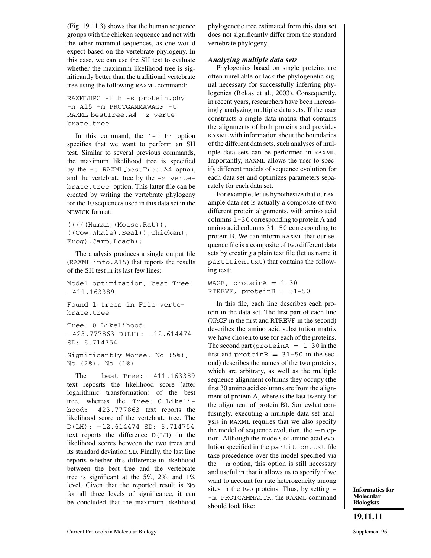(Fig. 19.11.3) shows that the human sequence groups with the chicken sequence and not with the other mammal sequences, as one would expect based on the vertebrate phylogeny. In this case, we can use the SH test to evaluate whether the maximum likelihood tree is significantly better than the traditional vertebrate tree using the following RAXML command:

```
RAXMLHPC -f h -s protein.phy
-n A15 -m PROTGAMMAWAGF -t
RAXML bestTree.A4 -z verte-
brate.tree
```
In this command, the  $- f h'$  option specifies that we want to perform an SH test. Similar to several previous commands, the maximum likelihood tree is specified by the -t RAXML bestTree.A4 option, and the vertebrate tree by the -z vertebrate.tree option. This latter file can be created by writing the vertebrate phylogeny for the 10 sequences used in this data set in the NEWICK format:

```
(((((Human,(Mouse,Rat)),
((Cow,Whale),Seal)),Chicken),
Frog),Carp,Loach);
```
The analysis produces a single output file (RAXML info.A15) that reports the results of the SH test in its last few lines:

```
Model optimization, best Tree:
−411.163389
Found 1 trees in File verte-
brate.tree
```

```
Tree: 0 Likelihood:
−423.777863 D(LH): −12.614474
SD: 6.714754
```
Significantly Worse: No (5%), No (2%), No (1%)

The best Tree: −411.163389 text reposrts the likelihood score (after logarithmic transformation) of the best tree, whereas the Tree: 0 Likelihood: −423.777863 text reports the likelihood score of the vertebrate tree. The D(LH): −12.614474 SD: 6.714754 text reports the difference D(LH) in the likelihood scores between the two trees and its standard deviation SD. Finally, the last line reports whether this difference in likelihood between the best tree and the vertebrate tree is significant at the 5%, 2%, and 1% level. Given that the reported result is No for all three levels of significance, it can be concluded that the maximum likelihood phylogenetic tree estimated from this data set does not significantly differ from the standard vertebrate phylogeny.

# *Analyzing multiple data sets*

Phylogenies based on single proteins are often unreliable or lack the phylogenetic signal necessary for successfully inferring phylogenies (Rokas et al., 2003). Consequently, in recent years, researchers have been increasingly analyzing multiple data sets. If the user constructs a single data matrix that contains the alignments of both proteins and provides RAXML with information about the boundaries of the different data sets, such analyses of multiple data sets can be performed in RAXML. Importantly, RAXML allows the user to specify different models of sequence evolution for each data set and optimizes parameters separately for each data set.

For example, let us hypothesize that our example data set is actually a composite of two different protein alignments, with amino acid columns 1-30 corresponding to protein A and amino acid columns 31-50 corresponding to protein B. We can inform RAXML that our sequence file is a composite of two different data sets by creating a plain text file (let us name it partition.txt) that contains the following text:

WAGF, protein $A = 1-30$ RTREVF, proteinB =  $31-50$ 

In this file, each line describes each protein in the data set. The first part of each line (WAGF in the first and RTREVF in the second) describes the amino acid substitution matrix we have chosen to use for each of the proteins. The second part (protein $A = 1-30$  in the first and protein $B = 31 - 50$  in the second) describes the names of the two proteins, which are arbitrary, as well as the multiple sequence alignment columns they occupy (the first 30 amino acid columns are from the alignment of protein A, whereas the last twenty for the alignment of protein B). Somewhat confusingly, executing a multiple data set analysis in RAXML requires that we also specify the model of sequence evolution, the  $-m$  option. Although the models of amino acid evolution specified in the partition.txt file take precedence over the model specified via the  $-m$  option, this option is still necessary and useful in that it allows us to specify if we want to account for rate heterogeneity among sites in the two proteins. Thus, by setting - -m PROTGAMMAGTR, the RAXML command should look like: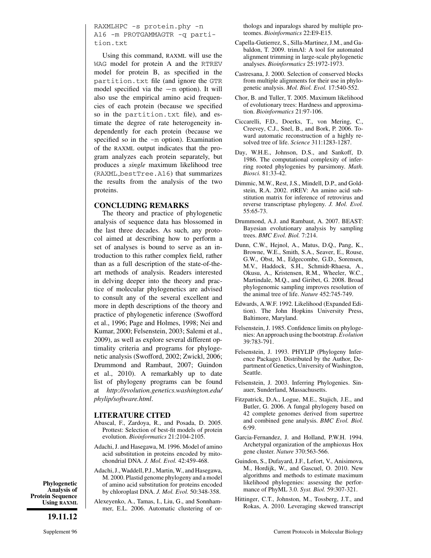RAXMLHPC -s protein.phy -n A16 -m PROTGAMMAGTR -q partition.txt

Using this command, RAXML will use the WAG model for protein A and the RTREV model for protein B, as specified in the partition.txt file (and ignore the GTR model specified via the  $-m$  option). It will also use the empirical amino acid frequencies of each protein (because we specified so in the partition.txt file), and estimate the degree of rate heterogeneity independently for each protein (because we specified so in the -m option). Examination of the RAXML output indicates that the program analyzes each protein separately, but produces a *single* maximum likelihood tree (RAXML bestTree.A16) that summarizes the results from the analysis of the two proteins.

#### **CONCLUDING REMARKS**

The theory and practice of phylogenetic analysis of sequence data has blossomed in the last three decades. As such, any protocol aimed at describing how to perform a set of analyses is bound to serve as an introduction to this rather complex field, rather than as a full description of the state-of-theart methods of analysis. Readers interested in delving deeper into the theory and practice of molecular phylogenetics are advised to consult any of the several excellent and more in depth descriptions of the theory and practice of phylogenetic inference (Swofford et al., 1996; Page and Holmes, 1998; Nei and Kumar, 2000; Felsenstein, 2003; Salemi et al., 2009), as well as explore several different optimality criteria and programs for phylogenetic analysis (Swofford, 2002; Zwickl, 2006; Drummond and Rambaut, 2007; Guindon et al., 2010). A remarkably up to date list of phylogeny programs can be found at *http://evolution.genetics.washington.edu/ phylip/software.html*.

#### **LITERATURE CITED**

- Abascal, F., Zardoya, R., and Posada, D. 2005. Prottest: Selection of best-fit models of protein evolution. *Bioinformatics* 21:2104-2105.
- Adachi, J. and Hasegawa, M. 1996. Model of amino acid substitution in proteins encoded by mitochondrial DNA. *J. Mol. Evol.* 42:459-468.
- Adachi, J., Waddell, P.J., Martin, W., and Hasegawa, M. 2000. Plastid genome phylogeny and a model of amino acid substitution for proteins encoded by chloroplast DNA. *J. Mol. Evol.* 50:348-358.
- Alexeyenko, A., Tamas, I., Liu, G., and Sonnhammer, E.L. 2006. Automatic clustering of or-

thologs and inparalogs shared by multiple proteomes. *Bioinformatics* 22:E9-E15.

- Capella-Gutierrez, S., Silla-Martinez, J.M., and Gabaldon, T. 2009. trimAl: A tool for automated alignment trimming in large-scale phylogenetic analyses. *Bioinformatics* 25:1972-1973.
- Castresana, J. 2000. Selection of conserved blocks from multiple alignments for their use in phylogenetic analysis. *Mol. Biol. Evol.* 17:540-552.
- Chor, B. and Tuller, T. 2005. Maximum likelihood of evolutionary trees: Hardness and approximation. *Bioinformatics* 21:97-106.
- Ciccarelli, F.D., Doerks, T., von Mering, C., Creevey, C.J., Snel, B., and Bork, P. 2006. Toward automatic reconstruction of a highly resolved tree of life. *Science* 311:1283-1287.
- Day, W.H.E., Johnson, D.S., and Sankoff, D. 1986. The computational complexity of inferring rooted phylogenies by parsimony. *Math. Biosci.* 81:33-42.
- Dimmic, M.W., Rest, J.S., Mindell, D.P., and Goldstein, R.A. 2002. rtREV: An amino acid substitution matrix for inference of retrovirus and reverse transcriptase phylogeny. *J. Mol. Evol.* 55:65-73.
- Drummond, A.J. and Rambaut, A. 2007. BEAST: Bayesian evolutionary analysis by sampling trees. *BMC Evol. Biol.* 7:214.
- Dunn, C.W., Hejnol, A., Matus, D.Q., Pang, K., Browne, W.E., Smith, S.A., Seaver, E., Rouse, G.W., Obst, M., Edgecombe, G.D., Sorensen, M.V., Haddock, S.H., Schmidt-Rhaesa, A., Okusu, A., Kristensen, R.M., Wheeler, W.C., Martindale, M.Q., and Giribet, G. 2008. Broad phylogenomic sampling improves resolution of the animal tree of life. *Nature* 452:745-749.
- Edwards, A.W.F. 1992. Likelihood (Expanded Edition). The John Hopkins University Press, Baltimore, Maryland.
- Felsenstein, J. 1985. Confidence limits on phylogenies: An approach using the bootstrap. *Evolution* 39:783-791.
- Felsenstein, J. 1993. PHYLIP (Phylogeny Inference Package). Distributed by the Author, Department of Genetics, University of Washington, Seattle.
- Felsenstein, J. 2003. Inferring Phylogenies. Sinauer, Sunderland, Massachusetts.
- Fitzpatrick, D.A., Logue, M.E., Stajich, J.E., and Butler, G. 2006. A fungal phylogeny based on 42 complete genomes derived from supertree and combined gene analysis. *BMC Evol. Biol.* 6:99.
- Garcia-Fernandez, J. and Holland, P.W.H. 1994. Archetypal organization of the amphioxus Hox gene cluster. *Nature* 370:563-566.
- Guindon, S., Dufayard, J.F., Lefort, V., Anisimova, M., Hordijk, W., and Gascuel, O. 2010. New algorithms and methods to estimate maximum likelihood phylogenies: assessing the performance of PhyML 3.0. *Syst. Biol.* 59:307-321.
- Hittinger, C.T., Johnston, M., Tossberg, J.T., and Rokas, A. 2010. Leveraging skewed transcript

**Phylogenetic Analysis of Protein Sequence Using RAXML**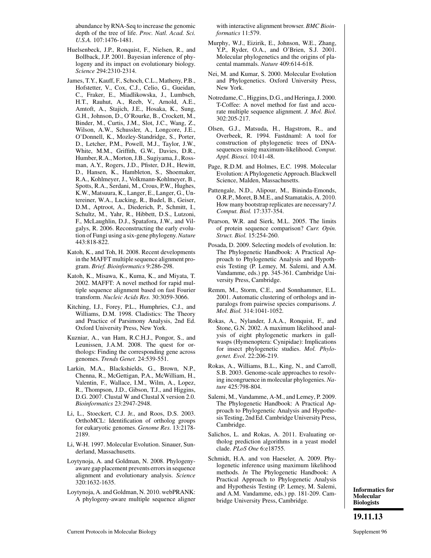abundance by RNA-Seq to increase the genomic depth of the tree of life. *Proc. Natl. Acad. Sci. U.S.A.* 107:1476-1481.

- Huelsenbeck, J.P., Ronquist, F., Nielsen, R., and Bollback, J.P. 2001. Bayesian inference of phylogeny and its impact on evolutionary biology. *Science* 294:2310-2314.
- James, T.Y., Kauff, F., Schoch, C.L., Matheny, P.B., Hofstetter, V., Cox, C.J., Celio, G., Gueidan, C., Fraker, E., Miadlikowska, J., Lumbsch, H.T., Rauhut, A., Reeb, V., Arnold, A.E., Amtoft, A., Stajich, J.E., Hosaka, K., Sung, G.H., Johnson, D., O'Rourke, B., Crockett, M., Binder, M., Curtis, J.M., Slot, J.C., Wang, Z., Wilson, A.W., Schussler, A., Longcore, J.E., O'Donnell, K., Mozley-Standridge, S., Porter, D., Letcher, P.M., Powell, M.J., Taylor, J.W., White, M.M., Griffith, G.W., Davies, D.R., Humber, R.A., Morton, J.B., Sugiyama, J., Rossman, A.Y., Rogers, J.D., Pfister, D.H., Hewitt, D., Hansen, K., Hambleton, S., Shoemaker, R.A., Kohlmeyer, J., Volkmann-Kohlmeyer, B., Spotts, R.A., Serdani, M., Crous, P.W., Hughes, K.W., Matsuura, K., Langer, E., Langer, G., Untereiner, W.A., Lucking, R., Budel, B., Geiser, D.M., Aptroot, A., Diederich, P., Schmitt, I., Schultz, M., Yahr, R., Hibbett, D.S., Lutzoni, F., McLaughlin, D.J., Spatafora, J.W., and Vilgalys, R. 2006. Reconstructing the early evolution of Fungi using a six-gene phylogeny.*Nature* 443:818-822.
- Katoh, K., and Toh, H. 2008. Recent developments in the MAFFT multiple sequence alignment program. *Brief. Bioinformatics* 9:286-298.
- Katoh, K., Misawa, K., Kuma, K., and Miyata, T. 2002. MAFFT: A novel method for rapid multiple sequence alignment based on fast Fourier transform. *Nucleic Acids Res.* 30:3059-3066.
- Kitching, I.J., Forey, P.L., Humphries, C.J., and Williams, D.M. 1998. Cladistics: The Theory and Practice of Parsimony Analysis, 2nd Ed. Oxford University Press, New York.
- Kuzniar, A., van Ham, R.C.H.J., Pongor, S., and Leunissen, J.A.M. 2008. The quest for orthologs: Finding the corresponding gene across genomes. *Trends Genet.* 24:539-551.
- Larkin, M.A., Blackshields, G., Brown, N.P., Chenna, R., McGettigan, P.A., McWilliam, H., Valentin, F., Wallace, I.M., Wilm, A., Lopez, R., Thompson, J.D., Gibson, T.J., and Higgins, D.G. 2007. Clustal W and Clustal X version 2.0. *Bioinformatics* 23:2947-2948.
- Li, L., Stoeckert, C.J. Jr., and Roos, D.S. 2003. OrthoMCL: Identification of ortholog groups for eukaryotic genomes. *Genome Res.* 13:2178- 2189.
- Li, W-H. 1997. Molecular Evolution. Sinauer, Sunderland, Massachusetts.
- Loytynoja, A. and Goldman, N. 2008. Phylogenyaware gap placement prevents errors in sequence alignment and evolutionary analysis. *Science* 320:1632-1635.
- Loytynoja, A. and Goldman, N. 2010. webPRANK: A phylogeny-aware multiple sequence aligner

with interactive alignment browser. *BMC Bioinformatics* 11:579.

- Murphy, W.J., Eizirik, E., Johnson, W.E., Zhang, Y.P., Ryder, O.A., and O'Brien, S.J. 2001. Molecular phylogenetics and the origins of placental mammals. *Nature* 409:614-618.
- Nei, M. and Kumar, S. 2000. Molecular Evolution and Phylogenetics. Oxford University Press, New York.
- Notredame, C., Higgins, D.G., and Heringa, J. 2000. T-Coffee: A novel method for fast and accurate multiple sequence alignment. *J. Mol. Biol.* 302:205-217.
- Olsen, G.J., Matsuda, H., Hagstrom, R., and Overbeek, R. 1994. Fastdnaml: A tool for construction of phylogenetic trees of DNAsequences using maximum-likelihood. *Comput. Appl. Biosci.* 10:41-48.
- Page, R.D.M. and Holmes, E.C. 1998. Molecular Evolution: A Phylogenetic Approach. Blackwell Science, Malden, Massachusetts.
- Pattengale, N.D., Alipour, M., Bininda-Emonds, O.R.P., Moret, B.M.E., and Stamatakis, A. 2010. How many bootstrap replicates are necessary? *J. Comput. Biol.* 17:337-354.
- Pearson, W.R. and Sierk, M.L. 2005. The limits of protein sequence comparison? *Curr. Opin. Struct. Biol.* 15:254-260.
- Posada, D. 2009. Selecting models of evolution. In: The Phylogenetic Handbook: A Practical Approach to Phylogenetic Analysis and Hypothesis Testing (P. Lemey, M. Salemi, and A.M. Vandamme, eds.) pp. 345-361. Cambridge University Press, Cambridge.
- Remm, M., Storm, C.E., and Sonnhammer, E.L. 2001. Automatic clustering of orthologs and inparalogs from pairwise species comparisons. *J. Mol. Biol.* 314:1041-1052.
- Rokas, A., Nylander, J.A.A., Ronquist, F., and Stone, G.N. 2002. A maximum likelihood analysis of eight phylogenetic markers in gallwasps (Hymenoptera: Cynipidae): Implications for insect phylogenetic studies. *Mol. Phylogenet. Evol.* 22:206-219.
- Rokas, A., Williams, B.L., King, N., and Carroll, S.B. 2003. Genome-scale approaches to resolving incongruence in molecular phylogenies. *Nature* 425:798-804.
- Salemi, M., Vandamme, A-M., and Lemey, P. 2009. The Phylogenetic Handbook: A Practical Approach to Phylogenetic Analysis and Hypothesis Testing, 2nd Ed. Cambridge University Press, Cambridge.
- Salichos, L. and Rokas, A. 2011. Evaluating ortholog prediction algorithms in a yeast model clade. *PLoS One* 6:e18755.
- Schmidt, H.A. and von Haeseler, A. 2009. Phylogenetic inference using maximum likelihood methods. *In* The Phylogenetic Handbook: A Practical Approach to Phylogenetic Analysis and Hypothesis Testing (P. Lemey, M. Salemi, and A.M. Vandamme, eds.) pp. 181-209. Cambridge University Press, Cambridge.

**Informatics for Molecular Biologists**